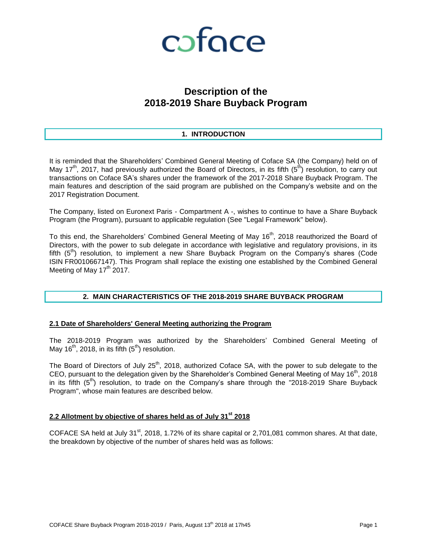

# **Description of the 2018-2019 Share Buyback Program**

### **1. INTRODUCTION**

It is reminded that the Shareholders' Combined General Meeting of Coface SA (the Company) held on of May 17<sup>th</sup>, 2017, had previously authorized the Board of Directors, in its fifth (5<sup>th</sup>) resolution, to carry out transactions on Coface SA's shares under the framework of the 2017-2018 Share Buyback Program. The main features and description of the said program are published on the Company's website and on the 2017 Registration Document.

The Company, listed on Euronext Paris - Compartment A -, wishes to continue to have a Share Buyback Program (the Program), pursuant to applicable regulation (See "Legal Framework" below).

To this end, the Shareholders' Combined General Meeting of May  $16<sup>th</sup>$ , 2018 reauthorized the Board of Directors, with the power to sub delegate in accordance with legislative and regulatory provisions, in its fifth  $(5<sup>th</sup>)$  resolution, to implement a new Share Buyback Program on the Company's shares (Code ISIN FR0010667147). This Program shall replace the existing one established by the Combined General Meeting of May  $17<sup>th</sup>$  2017.

#### **2. MAIN CHARACTERISTICS OF THE 2018-2019 SHARE BUYBACK PROGRAM**

#### **2.1 Date of Shareholders' General Meeting authorizing the Program**

The 2018-2019 Program was authorized by the Shareholders' Combined General Meeting of May 16<sup>th</sup>, 2018, in its fifth  $(5<sup>th</sup>)$  resolution.

The Board of Directors of July 25<sup>th</sup>, 2018, authorized Coface SA, with the power to sub delegate to the CEO, pursuant to the delegation given by the Shareholder's Combined General Meeting of May 16<sup>th</sup>, 2018 in its fifth  $(5<sup>th</sup>)$  resolution, to trade on the Company's share through the "2018-2019 Share Buyback Program", whose main features are described below.

### **2.2 Allotment by objective of shares held as of July 31st 2018**

COFACE SA held at July 31<sup>st</sup>, 2018, 1.72% of its share capital or 2,701,081 common shares. At that date, the breakdown by objective of the number of shares held was as follows: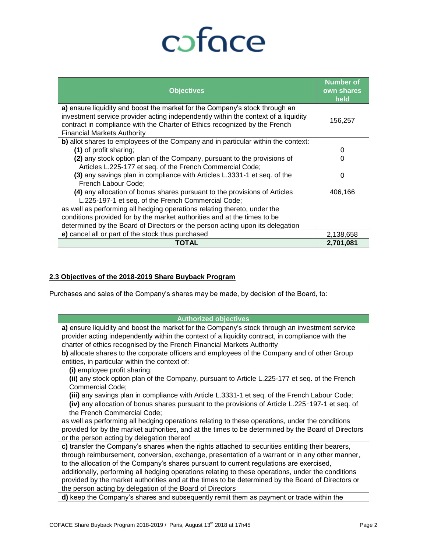# coface

| <b>Objectives</b>                                                                                                                                                                                                                                                                     | <b>Number of</b><br>own shares<br>held |
|---------------------------------------------------------------------------------------------------------------------------------------------------------------------------------------------------------------------------------------------------------------------------------------|----------------------------------------|
| a) ensure liquidity and boost the market for the Company's stock through an<br>investment service provider acting independently within the context of a liquidity<br>contract in compliance with the Charter of Ethics recognized by the French<br><b>Financial Markets Authority</b> | 156,257                                |
| b) allot shares to employees of the Company and in particular within the context:                                                                                                                                                                                                     |                                        |
| (1) of profit sharing;                                                                                                                                                                                                                                                                | 0                                      |
| (2) any stock option plan of the Company, pursuant to the provisions of                                                                                                                                                                                                               | 0                                      |
| Articles L.225-177 et seq. of the French Commercial Code;                                                                                                                                                                                                                             |                                        |
| (3) any savings plan in compliance with Articles L.3331-1 et seq. of the<br>French Labour Code;                                                                                                                                                                                       | 0                                      |
| (4) any allocation of bonus shares pursuant to the provisions of Articles                                                                                                                                                                                                             | 406,166                                |
| L.225-197-1 et seq. of the French Commercial Code;                                                                                                                                                                                                                                    |                                        |
| as well as performing all hedging operations relating thereto, under the                                                                                                                                                                                                              |                                        |
| conditions provided for by the market authorities and at the times to be                                                                                                                                                                                                              |                                        |
| determined by the Board of Directors or the person acting upon its delegation                                                                                                                                                                                                         |                                        |
| e) cancel all or part of the stock thus purchased                                                                                                                                                                                                                                     | 2,138,658                              |
| TOTAL                                                                                                                                                                                                                                                                                 | 2,701,081                              |

## **2.3 Objectives of the 2018-2019 Share Buyback Program**

Purchases and sales of the Company's shares may be made, by decision of the Board, to:

| <b>Authorized objectives</b>                                                                        |  |  |  |  |  |
|-----------------------------------------------------------------------------------------------------|--|--|--|--|--|
| a) ensure liquidity and boost the market for the Company's stock through an investment service      |  |  |  |  |  |
| provider acting independently within the context of a liquidity contract, in compliance with the    |  |  |  |  |  |
| charter of ethics recognised by the French Financial Markets Authority                              |  |  |  |  |  |
| b) allocate shares to the corporate officers and employees of the Company and of other Group        |  |  |  |  |  |
| entities, in particular within the context of:                                                      |  |  |  |  |  |
| (i) employee profit sharing;                                                                        |  |  |  |  |  |
| (ii) any stock option plan of the Company, pursuant to Article L.225-177 et seq. of the French      |  |  |  |  |  |
| Commercial Code;                                                                                    |  |  |  |  |  |
| (iii) any savings plan in compliance with Article L.3331-1 et seq. of the French Labour Code;       |  |  |  |  |  |
| (iv) any allocation of bonus shares pursuant to the provisions of Article L.225-197-1 et seq. of    |  |  |  |  |  |
| the French Commercial Code;                                                                         |  |  |  |  |  |
| as well as performing all hedging operations relating to these operations, under the conditions     |  |  |  |  |  |
| provided for by the market authorities, and at the times to be determined by the Board of Directors |  |  |  |  |  |
| or the person acting by delegation thereof                                                          |  |  |  |  |  |
| c) transfer the Company's shares when the rights attached to securities entitling their bearers,    |  |  |  |  |  |
| through reimbursement, conversion, exchange, presentation of a warrant or in any other manner,      |  |  |  |  |  |
| to the allocation of the Company's shares pursuant to current regulations are exercised,            |  |  |  |  |  |
| additionally, performing all hedging operations relating to these operations, under the conditions  |  |  |  |  |  |
| provided by the market authorities and at the times to be determined by the Board of Directors or   |  |  |  |  |  |
| the person acting by delegation of the Board of Directors                                           |  |  |  |  |  |
| d) keep the Company's shares and subsequently remit them as payment or trade within the             |  |  |  |  |  |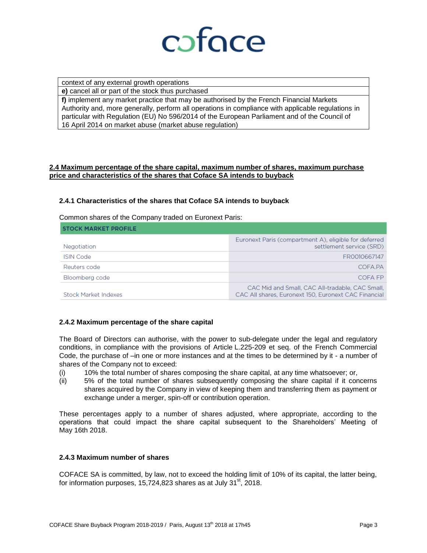

context of any external growth operations

**e)** cancel all or part of the stock thus purchased

**f)** implement any market practice that may be authorised by the French Financial Markets Authority and, more generally, perform all operations in compliance with applicable regulations in particular with Regulation (EU) No 596/2014 of the European Parliament and of the Council of 16 April 2014 on market abuse (market abuse regulation)

#### **2.4 Maximum percentage of the share capital, maximum number of shares, maximum purchase price and characteristics of the shares that Coface SA intends to buyback**

#### **2.4.1 Characteristics of the shares that Coface SA intends to buyback**

Common shares of the Company traded on Euronext Paris:

| <b>STOCK MARKET PROFILE</b> |                                                                                                         |  |  |  |
|-----------------------------|---------------------------------------------------------------------------------------------------------|--|--|--|
| Negotiation                 | Euronext Paris (compartment A), eligible for deferred<br>settlement service (SRD)                       |  |  |  |
| <b>ISIN Code</b>            | FR0010667147                                                                                            |  |  |  |
| Reuters code                | COFA.PA                                                                                                 |  |  |  |
| Bloomberg code              | COFA FP                                                                                                 |  |  |  |
| Stock Market Indexes        | CAC Mid and Small, CAC All-tradable, CAC Small,<br>CAC All shares, Euronext 150, Euronext CAC Financial |  |  |  |

#### **2.4.2 Maximum percentage of the share capital**

The Board of Directors can authorise, with the power to sub-delegate under the legal and regulatory conditions, in compliance with the provisions of Article L.225-209 et seq. of the French Commercial Code, the purchase of –in one or more instances and at the times to be determined by it - a number of shares of the Company not to exceed:

- (i) 10% the total number of shares composing the share capital, at any time whatsoever; or,
- (ii) 5% of the total number of shares subsequently composing the share capital if it concerns shares acquired by the Company in view of keeping them and transferring them as payment or exchange under a merger, spin-off or contribution operation.

These percentages apply to a number of shares adjusted, where appropriate, according to the operations that could impact the share capital subsequent to the Shareholders' Meeting of May 16th 2018.

### **2.4.3 Maximum number of shares**

COFACE SA is committed, by law, not to exceed the holding limit of 10% of its capital, the latter being, for information purposes, 15,724,823 shares as at July 31 $^{\rm st}$ , 2018.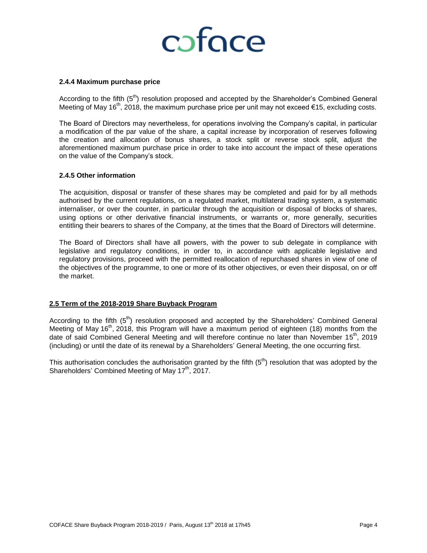# coface

#### **2.4.4 Maximum purchase price**

According to the fifth (5<sup>th</sup>) resolution proposed and accepted by the Shareholder's Combined General Meeting of May 16<sup>th</sup>, 2018, the maximum purchase price per unit may not exceed €15, excluding costs.

The Board of Directors may nevertheless, for operations involving the Company's capital, in particular a modification of the par value of the share, a capital increase by incorporation of reserves following the creation and allocation of bonus shares, a stock split or reverse stock split, adjust the aforementioned maximum purchase price in order to take into account the impact of these operations on the value of the Company's stock.

#### **2.4.5 Other information**

The acquisition, disposal or transfer of these shares may be completed and paid for by all methods authorised by the current regulations, on a regulated market, multilateral trading system, a systematic internaliser, or over the counter, in particular through the acquisition or disposal of blocks of shares, using options or other derivative financial instruments, or warrants or, more generally, securities entitling their bearers to shares of the Company, at the times that the Board of Directors will determine.

The Board of Directors shall have all powers, with the power to sub delegate in compliance with legislative and regulatory conditions, in order to, in accordance with applicable legislative and regulatory provisions, proceed with the permitted reallocation of repurchased shares in view of one of the objectives of the programme, to one or more of its other objectives, or even their disposal, on or off the market.

#### **2.5 Term of the 2018-2019 Share Buyback Program**

According to the fifth  $(5<sup>th</sup>)$  resolution proposed and accepted by the Shareholders' Combined General Meeting of May 16<sup>th</sup>, 2018, this Program will have a maximum period of eighteen (18) months from the date of said Combined General Meeting and will therefore continue no later than November 15<sup>th</sup>, 2019 (including) or until the date of its renewal by a Shareholders' General Meeting, the one occurring first.

This authorisation concludes the authorisation granted by the fifth  $(5<sup>th</sup>)$  resolution that was adopted by the Shareholders' Combined Meeting of May  $17<sup>th</sup>$ , 2017.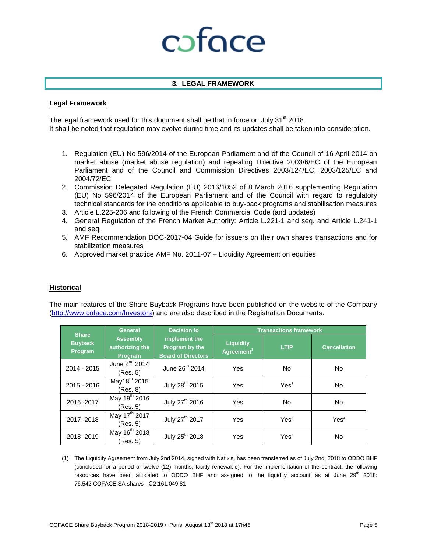# coface

### **3. LEGAL FRAMEWORK**

#### **Legal Framework**

The legal framework used for this document shall be that in force on July  $31<sup>st</sup> 2018$ . It shall be noted that regulation may evolve during time and its updates shall be taken into consideration.

- 1. Regulation (EU) No 596/2014 of the European Parliament and of the Council of 16 April 2014 on market abuse (market abuse regulation) and repealing Directive 2003/6/EC of the European Parliament and of the Council and Commission Directives 2003/124/EC, 2003/125/EC and 2004/72/EC
- 2. Commission Delegated Regulation (EU) 2016/1052 of 8 March 2016 supplementing Regulation (EU) No 596/2014 of the European Parliament and of the Council with regard to regulatory technical standards for the conditions applicable to buy-back programs and stabilisation measures
- 3. Article L.225-206 and following of the French Commercial Code (and updates)
- 4. General Regulation of the French Market Authority: Article L.221-1 and seq. and Article L.241-1 and seq.
- 5. AMF Recommendation DOC-2017-04 Guide for issuers on their own shares transactions and for stabilization measures
- 6. Approved market practice AMF No. 2011-07 Liquidity Agreement on equities

### **Historical**

The main features of the Share Buyback Programs have been published on the website of the Company [\(http://www.coface.com/Investors\)](http://www.coface.com/Investors) and are also described in the Registration Documents.

| <b>Share</b><br><b>Buyback</b><br>Program | <b>Decision to</b><br><b>General</b>          |                                                              | <b>Transactions framework</b>              |                  |                     |
|-------------------------------------------|-----------------------------------------------|--------------------------------------------------------------|--------------------------------------------|------------------|---------------------|
|                                           | <b>Assembly</b><br>authorizing the<br>Program | implement the<br>Program by the<br><b>Board of Directors</b> | <b>Liquidity</b><br>Agreement <sup>1</sup> | <b>LTIP</b>      | <b>Cancellation</b> |
| 2014 - 2015                               | June 2 <sup>nd</sup> 2014<br>(Res. 5)         | June 26 <sup>th</sup> 2014                                   | <b>Yes</b>                                 | N <sub>o</sub>   | <b>No</b>           |
| 2015 - 2016                               | May18 <sup>th</sup> 2015<br>(Res. 8)          | July 28 <sup>th</sup> 2015                                   | <b>Yes</b>                                 | Yes <sup>2</sup> | <b>No</b>           |
| 2016 - 2017                               | May 19 <sup>th</sup> 2016<br>(Res. 5)         | July 27 <sup>th</sup> 2016                                   | <b>Yes</b>                                 | N <sub>o</sub>   | <b>No</b>           |
| 2017-2018                                 | May 17 <sup>th</sup> 2017<br>(Res. 5)         | July 27 <sup>th</sup> 2017                                   | Yes                                        | Yes <sup>3</sup> | Yes <sup>4</sup>    |
| 2018-2019                                 | May 16 <sup>th</sup> 2018<br>(Res. 5)         | July 25 <sup>th</sup> 2018                                   | <b>Yes</b>                                 | Yes <sup>5</sup> | <b>No</b>           |

(1) The Liquidity Agreement from July 2nd 2014, signed with Natixis, has been transferred as of July 2nd, 2018 to ODDO BHF (concluded for a period of twelve (12) months, tacitly renewable). For the implementation of the contract, the following resources have been allocated to ODDO BHF and assigned to the liquidity account as at June  $29<sup>th</sup>$  2018: 76,542 COFACE SA shares - € 2,161,049.81